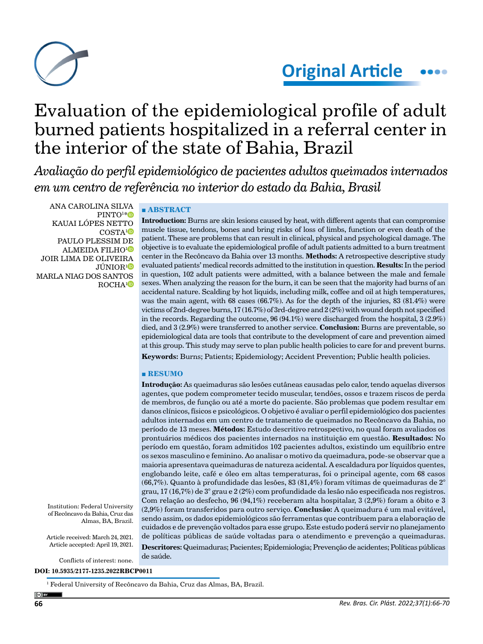

# Evaluation of the epidemiological profile of adult burned patients hospitalized in a referral center in the interior of the state of Bahia, Brazil

*Avaliação do perfil epidemiológico de pacientes adultos queimados internados em um centro de referência no interior do estado da Bahia, Brasil*

ANA CAROLINA SILVA  $\rm PINTO^{1*}$  $\rm PINTO^{1*}$  $\rm PINTO^{1*}$ KAUAI LÓPES NETTO COSTA<sup>[1](https://orcid.org/0000-0003-3562-7375)</sup><sup>D</sup> PAULO PLESSIM DE ALMEIDA FILHO[1](https://orcid.org/0000-0002-0775-1283
) JOIR LIMA DE OLIVEIRA JÚNIOR<sup>[1](https://orcid.org/0000-0002-0215-1238)</sup> MARLA NIAG DOS SANTOS ROCHA<sup>[1](https://orcid.org/0000-0001-6478-5861)</sup><sup>®</sup>

## **■ ABSTRACT**

**Introduction:** Burns are skin lesions caused by heat, with different agents that can compromise muscle tissue, tendons, bones and bring risks of loss of limbs, function or even death of the patient. These are problems that can result in clinical, physical and psychological damage. The objective is to evaluate the epidemiological profile of adult patients admitted to a burn treatment center in the Recôncavo da Bahia over 13 months. **Methods:** A retrospective descriptive study evaluated patients' medical records admitted to the institution in question. **Results:** In the period in question, 102 adult patients were admitted, with a balance between the male and female sexes. When analyzing the reason for the burn, it can be seen that the majority had burns of an accidental nature. Scalding by hot liquids, including milk, coffee and oil at high temperatures, was the main agent, with 68 cases (66.7%). As for the depth of the injuries, 83 (81.4%) were victims of 2nd-degree burns, 17 (16.7%) of 3rd-degree and 2 (2%) with wound depth not specified in the records. Regarding the outcome, 96 (94.1%) were discharged from the hospital, 3 (2.9%) died, and 3 (2.9%) were transferred to another service. **Conclusion:** Burns are preventable, so epidemiological data are tools that contribute to the development of care and prevention aimed at this group. This study may serve to plan public health policies to care for and prevent burns.

**Keywords:** Burns; Patients; Epidemiology; Accident Prevention; Public health policies.

#### **■ RESUMO**

**Introdução:** As queimaduras são lesões cutâneas causadas pelo calor, tendo aquelas diversos agentes, que podem comprometer tecido muscular, tendões, ossos e trazem riscos de perda de membros, de função ou até a morte do paciente. São problemas que podem resultar em danos clínicos, físicos e psicológicos. O objetivo é avaliar o perfil epidemiológico dos pacientes adultos internados em um centro de tratamento de queimados no Recôncavo da Bahia, no período de 13 meses. **Métodos:** Estudo descritivo retrospectivo, no qual foram avaliados os prontuários médicos dos pacientes internados na instituição em questão. **Resultados:** No período em questão, foram admitidos 102 pacientes adultos, existindo um equilíbrio entre os sexos masculino e feminino. Ao analisar o motivo da queimadura, pode-se observar que a maioria apresentava queimaduras de natureza acidental. A escaldadura por líquidos quentes, englobando leite, café e óleo em altas temperaturas, foi o principal agente, com 68 casos (66,7%). Quanto à profundidade das lesões, 83 (81,4%) foram vítimas de queimaduras de 2° grau, 17 (16,7%) de 3° grau e 2 (2%) com profundidade da lesão não especificada nos registros. Com relação ao desfecho, 96 (94,1%) receberam alta hospitalar, 3 (2,9%) foram a óbito e 3 (2,9%) foram transferidos para outro serviço. **Conclusão:** A queimadura é um mal evitável, sendo assim, os dados epidemiológicos são ferramentas que contribuem para a elaboração de cuidados e de prevenção voltados para esse grupo. Este estudo poderá servir no planejamento de políticas públicas de saúde voltadas para o atendimento e prevenção a queimaduras. **Descritores:** Queimaduras; Pacientes; Epidemiologia; Prevenção de acidentes; Políticas públicas de saúde.

Institution: Federal University of Recôncavo da Bahia, Cruz das Almas, BA, Brazil.

Article received: March 24, 2021. Article accepted: April 19, 2021.

Conflicts of interest: none.

**DOI: 10.5935/2177-1235.2022RBCP0011**

<sup>1</sup> Federal University of Recôncavo da Bahia, Cruz das Almas, BA, Brazil.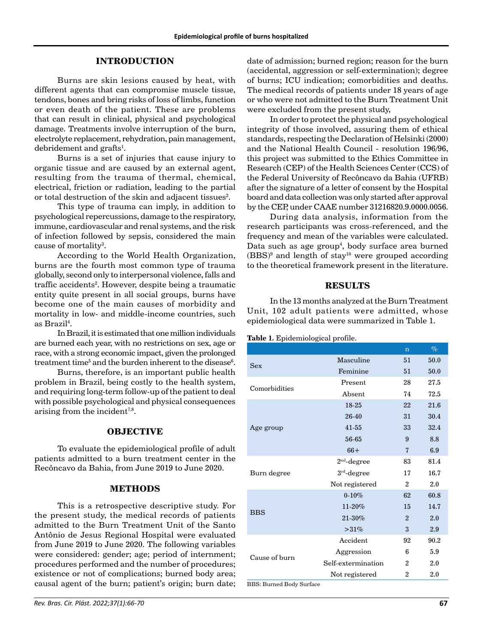#### **INTRODUCTION**

Burns are skin lesions caused by heat, with different agents that can compromise muscle tissue, tendons, bones and bring risks of loss of limbs, function or even death of the patient. These are problems that can result in clinical, physical and psychological damage. Treatments involve interruption of the burn, electrolyte replacement, rehydration, pain management, debridement and grafts<sup>1</sup>.

Burns is a set of injuries that cause injury to organic tissue and are caused by an external agent, resulting from the trauma of thermal, chemical, electrical, friction or radiation, leading to the partial or total destruction of the skin and adjacent tissues $^{2}$ .

This type of trauma can imply, in addition to psychological repercussions, damage to the respiratory, immune, cardiovascular and renal systems, and the risk of infection followed by sepsis, considered the main cause of mortality<sup>3</sup>.

According to the World Health Organization, burns are the fourth most common type of trauma globally, second only to interpersonal violence, falls and traffic accidents<sup>2</sup>. However, despite being a traumatic entity quite present in all social groups, burns have become one of the main causes of morbidity and mortality in low- and middle-income countries, such as Brazil4 .

In Brazil, it is estimated that one million individuals are burned each year, with no restrictions on sex, age or race, with a strong economic impact, given the prolonged treatment time $^5$  and the burden inherent to the disease $^6\!$ .

Burns, therefore, is an important public health problem in Brazil, being costly to the health system, and requiring long-term follow-up of the patient to deal with possible psychological and physical consequences arising from the incident<sup>7,8</sup>.

#### **OBJECTIVE**

To evaluate the epidemiological profile of adult patients admitted to a burn treatment center in the Recôncavo da Bahia, from June 2019 to June 2020.

#### **METHODS**

This is a retrospective descriptive study. For the present study, the medical records of patients admitted to the Burn Treatment Unit of the Santo Antônio de Jesus Regional Hospital were evaluated from June 2019 to June 2020. The following variables were considered: gender; age; period of internment; procedures performed and the number of procedures; existence or not of complications; burned body area; causal agent of the burn; patient's origin; burn date; date of admission; burned region; reason for the burn (accidental, aggression or self-extermination); degree of burns; ICU indication; comorbidities and deaths. The medical records of patients under 18 years of age or who were not admitted to the Burn Treatment Unit were excluded from the present study,

In order to protect the physical and psychological integrity of those involved, assuring them of ethical standards, respecting the Declaration of Helsinki (2000) and the National Health Council - resolution 196/96, this project was submitted to the Ethics Committee in Research (CEP) of the Health Sciences Center (CCS) of the Federal University of Recôncavo da Bahia (UFRB) after the signature of a letter of consent by the Hospital board and data collection was only started after approval by the CEP, under CAAE number 31216820.9.0000.0056.

During data analysis, information from the research participants was cross-referenced, and the frequency and mean of the variables were calculated. Data such as age group<sup>4</sup>, body surface area burned  $(BBS)^9$  and length of stay<sup>10</sup> were grouped according to the theoretical framework present in the literature.

#### **RESULTS**

In the 13 months analyzed at the Burn Treatment Unit, 102 adult patients were admitted, whose epidemiological data were summarized in Table 1.

**Table 1.** Epidemiological profile.

|                    | $\overline{n}$ | $\%$ |
|--------------------|----------------|------|
| Masculine          | 51             | 50.0 |
| Feminine           | 51             | 50.0 |
| Present            | 28             | 27.5 |
| <b>Absent</b>      | 74             | 72.5 |
| 18-25              | 22             | 21.6 |
| 26-40              | 31             | 30.4 |
| $41 - 55$          | 33             | 32.4 |
| 56-65              | 9              | 8.8  |
| $66+$              | $\overline{7}$ | 6.9  |
| $2nd$ -degree      | 83             | 81.4 |
| $3rd$ -degree      | 17             | 16.7 |
| Not registered     | $\mathbf{2}$   | 2.0  |
| $0 - 10%$          | 62             | 60.8 |
| 11-20%             | 15             | 14.7 |
| 21-30%             | $\overline{2}$ | 2.0  |
| >31%               | 3              | 2.9  |
| Accident           | 92             | 90.2 |
| Aggression         | 6              | 5.9  |
| Self-extermination | $\overline{2}$ | 2.0  |
| Not registered     | $\overline{2}$ | 2.0  |
|                    |                |      |

BBS: Burned Body Surface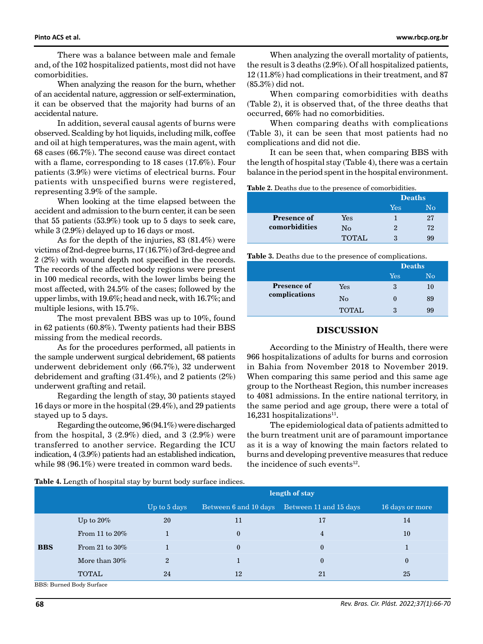There was a balance between male and female and, of the 102 hospitalized patients, most did not have comorbidities.

When analyzing the reason for the burn, whether of an accidental nature, aggression or self-extermination, it can be observed that the majority had burns of an accidental nature.

In addition, several causal agents of burns were observed. Scalding by hot liquids, including milk, coffee and oil at high temperatures, was the main agent, with 68 cases (66.7%). The second cause was direct contact with a flame, corresponding to 18 cases (17.6%). Four patients (3.9%) were victims of electrical burns. Four patients with unspecified burns were registered, representing 3.9% of the sample.

When looking at the time elapsed between the accident and admission to the burn center, it can be seen that 55 patients (53.9%) took up to 5 days to seek care, while 3 (2.9%) delayed up to 16 days or most.

As for the depth of the injuries, 83 (81.4%) were victims of 2nd-degree burns, 17 (16.7%) of 3rd-degree and 2 (2%) with wound depth not specified in the records. The records of the affected body regions were present in 100 medical records, with the lower limbs being the most affected, with 24.5% of the cases; followed by the upper limbs, with 19.6%; head and neck, with 16.7%; and multiple lesions, with 15.7%.

The most prevalent BBS was up to 10%, found in 62 patients (60.8%). Twenty patients had their BBS missing from the medical records.

As for the procedures performed, all patients in the sample underwent surgical debridement, 68 patients underwent debridement only (66.7%), 32 underwent debridement and grafting (31.4%), and 2 patients (2%) underwent grafting and retail.

Regarding the length of stay, 30 patients stayed 16 days or more in the hospital (29.4%), and 29 patients stayed up to 5 days.

Regarding the outcome, 96 (94.1%) were discharged from the hospital,  $3(2.9\%)$  died, and  $3(2.9\%)$  were transferred to another service. Regarding the ICU indication, 4 (3.9%) patients had an established indication, while 98 (96.1%) were treated in common ward beds.

When analyzing the overall mortality of patients, the result is 3 deaths (2.9%). Of all hospitalized patients, 12 (11.8%) had complications in their treatment, and 87 (85.3%) did not.

When comparing comorbidities with deaths (Table 2), it is observed that, of the three deaths that occurred, 66% had no comorbidities.

When comparing deaths with complications (Table 3), it can be seen that most patients had no complications and did not die.

It can be seen that, when comparing BBS with the length of hospital stay (Table 4), there was a certain balance in the period spent in the hospital environment.

| Table 2. Deaths due to the presence of comorbidities. |  |
|-------------------------------------------------------|--|
|-------------------------------------------------------|--|

|                    |       | <b>Deaths</b> |    |
|--------------------|-------|---------------|----|
|                    |       | Yes           | Nο |
| <b>Presence of</b> | Yes   |               | 27 |
| comorbidities      | No    | 2             | 72 |
|                    | TOTAL | ঽ             | 99 |

**Table 3.** Deaths due to the presence of complications.

|                    |              | <b>Deaths</b> |    |
|--------------------|--------------|---------------|----|
|                    |              | Yes           | No |
| <b>Presence of</b> | Yes          | 3             | 10 |
| complications      | No           |               | 89 |
|                    | <b>TOTAL</b> | ঽ             | 99 |

#### **DISCUSSION**

According to the Ministry of Health, there were 966 hospitalizations of adults for burns and corrosion in Bahia from November 2018 to November 2019. When comparing this same period and this same age group to the Northeast Region, this number increases to 4081 admissions. In the entire national territory, in the same period and age group, there were a total of 16,231 hospitalizations $^{11}$ .

The epidemiological data of patients admitted to the burn treatment unit are of paramount importance as it is a way of knowing the main factors related to burns and developing preventive measures that reduce the incidence of such events $12$ .

|                         |                   | length of stay |              |                                              |                 |
|-------------------------|-------------------|----------------|--------------|----------------------------------------------|-----------------|
|                         |                   | Up to 5 days   |              | Between 6 and 10 days Between 11 and 15 days | 16 days or more |
| <b>BBS</b>              | Up to $20\%$      | 20             | 11           | 17                                           | 14              |
|                         | From 11 to $20\%$ |                | $\mathbf{0}$ | 4                                            | 10              |
|                         | From 21 to $30\%$ |                | $\Omega$     | $\bf{0}$                                     |                 |
|                         | More than $30\%$  | $\overline{2}$ |              | $\bf{0}$                                     | $\mathbf{0}$    |
|                         | <b>TOTAL</b>      | 24             | 12           | 21                                           | 25              |
| DDC. Dumad Dady Curfood |                   |                |              |                                              |                 |

**Table 4.** Length of hospital stay by burnt body surface indices.

S: Burned Body Surface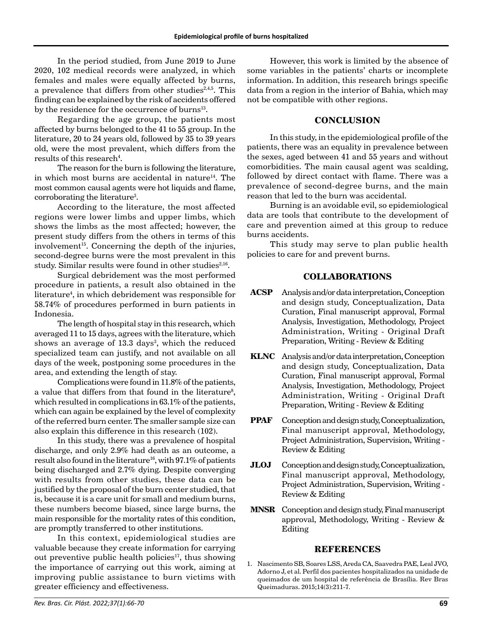In the period studied, from June 2019 to June 2020, 102 medical records were analyzed, in which females and males were equally affected by burns, a prevalence that differs from other studies $2,4,5$ . This finding can be explained by the risk of accidents offered by the residence for the occurrence of burns<sup>13</sup>.

Regarding the age group, the patients most affected by burns belonged to the 41 to 55 group. In the literature, 20 to 24 years old, followed by 35 to 39 years old, were the most prevalent, which differs from the  ${\rm results~of~this~research^4}.$ 

The reason for the burn is following the literature, in which most burns are accidental in nature $14$ . The most common causal agents were hot liquids and flame, corroborating the literature<sup>3</sup>.

According to the literature, the most affected regions were lower limbs and upper limbs, which shows the limbs as the most affected; however, the present study differs from the others in terms of this involvement<sup>15</sup>. Concerning the depth of the injuries, second-degree burns were the most prevalent in this study. Similar results were found in other studies<sup>2,16</sup>.

Surgical debridement was the most performed procedure in patients, a result also obtained in the literature4 , in which debridement was responsible for 58.74% of procedures performed in burn patients in Indonesia.

The length of hospital stay in this research, which averaged 11 to 15 days, agrees with the literature, which shows an average of 13.3 days<sup>3</sup>, which the reduced specialized team can justify, and not available on all days of the week, postponing some procedures in the area, and extending the length of stay.

Complications were found in 11.8% of the patients, a value that differs from that found in the literature<sup>8</sup>, which resulted in complications in 63.1% of the patients, which can again be explained by the level of complexity of the referred burn center. The smaller sample size can also explain this difference in this research (102).

In this study, there was a prevalence of hospital discharge, and only 2.9% had death as an outcome, a result also found in the literature<sup>16</sup>, with 97.1% of patients being discharged and 2.7% dying. Despite converging with results from other studies, these data can be justified by the proposal of the burn center studied, that is, because it is a care unit for small and medium burns, these numbers become biased, since large burns, the main responsible for the mortality rates of this condition, are promptly transferred to other institutions.

In this context, epidemiological studies are valuable because they create information for carrying out preventive public health policies<sup>17</sup>, thus showing the importance of carrying out this work, aiming at improving public assistance to burn victims with greater efficiency and effectiveness.

However, this work is limited by the absence of some variables in the patients' charts or incomplete information. In addition, this research brings specific data from a region in the interior of Bahia, which may not be compatible with other regions.

## **CONCLUSION**

In this study, in the epidemiological profile of the patients, there was an equality in prevalence between the sexes, aged between 41 and 55 years and without comorbidities. The main causal agent was scalding, followed by direct contact with flame. There was a prevalence of second-degree burns, and the main reason that led to the burn was accidental.

Burning is an avoidable evil, so epidemiological data are tools that contribute to the development of care and prevention aimed at this group to reduce burns accidents.

This study may serve to plan public health policies to care for and prevent burns.

# **COLLABORATIONS**

- **ACSP** Analysis and/or data interpretation, Conception and design study, Conceptualization, Data Curation, Final manuscript approval, Formal Analysis, Investigation, Methodology, Project Administration, Writing - Original Draft Preparation, Writing - Review & Editing
- **KLNC** Analysis and/or data interpretation, Conception and design study, Conceptualization, Data Curation, Final manuscript approval, Formal Analysis, Investigation, Methodology, Project Administration, Writing - Original Draft Preparation, Writing - Review & Editing
- **PPAF** Conception and design study, Conceptualization, Final manuscript approval, Methodology, Project Administration, Supervision, Writing - Review & Editing
- **JLOJ** Conception and design study, Conceptualization, Final manuscript approval, Methodology, Project Administration, Supervision, Writing - Review & Editing
- **MNSR** Conception and design study, Final manuscript approval, Methodology, Writing - Review & Editing

## **REFERENCES**

1. Nascimento SB, Soares LSS, Areda CA, Saavedra PAE, Leal JVO, Adorno J, et al. Perfil dos pacientes hospitalizados na unidade de queimados de um hospital de referência de Brasília. Rev Bras Queimaduras. 2015;14(3):211-7.